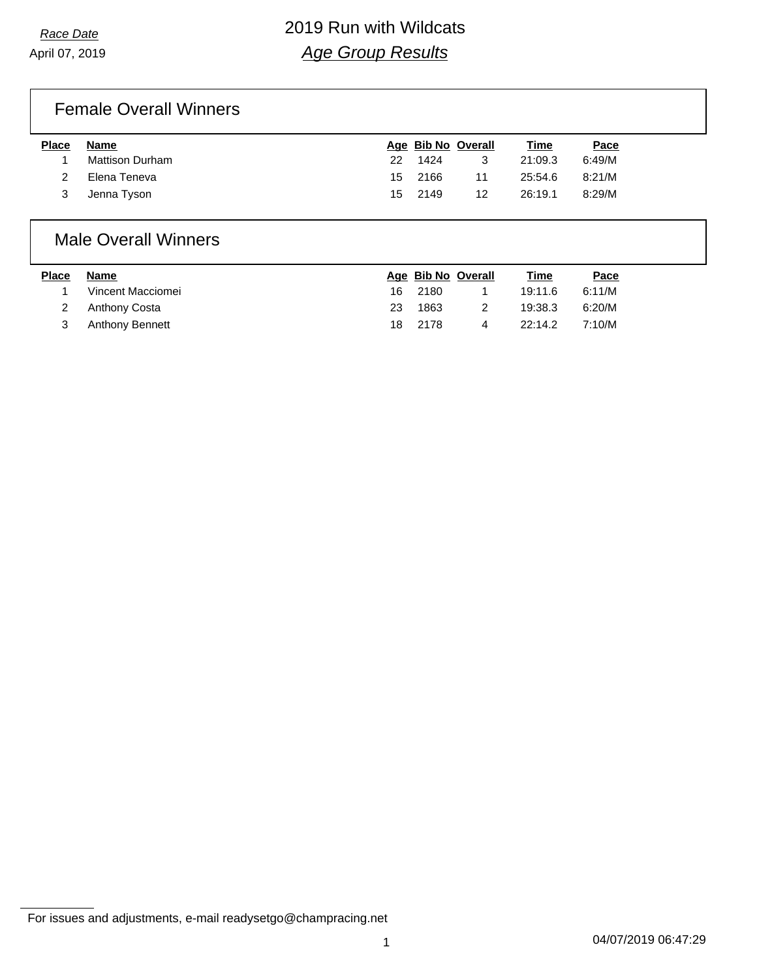# *Race Date* 2019 Run with Wildcats *Age Group Results*

# Female Overall Winners

| <b>Place</b> | Name            |     |         | Age Bib No Overall | <b>Time</b> | Pace   |
|--------------|-----------------|-----|---------|--------------------|-------------|--------|
|              | Mattison Durham | 22. | 1424    | 3                  | 21:09.3     | 6:49/M |
|              | Elena Teneva    |     | 15 2166 | 11                 | 25:54.6     | 8:21/M |
|              | Jenna Tyson     | 15  | 2149    | 12                 | 26:19.1     | 8:29/M |

### Male Overall Winners

| <b>Place</b> | Name              |     | Age Bib No Overall |   | Time    | Pace   |
|--------------|-------------------|-----|--------------------|---|---------|--------|
|              | Vincent Macciomei |     | 16 2180            |   | 19:11.6 | 6:11/M |
|              | 2 Anthony Costa   | 23. | 1863               |   | 19:38.3 | 6:20/M |
|              | Anthony Bennett   |     | 18 2178            | 4 | 22:14.2 | 7:10/M |

For issues and adjustments, e-mail readysetgo@champracing.net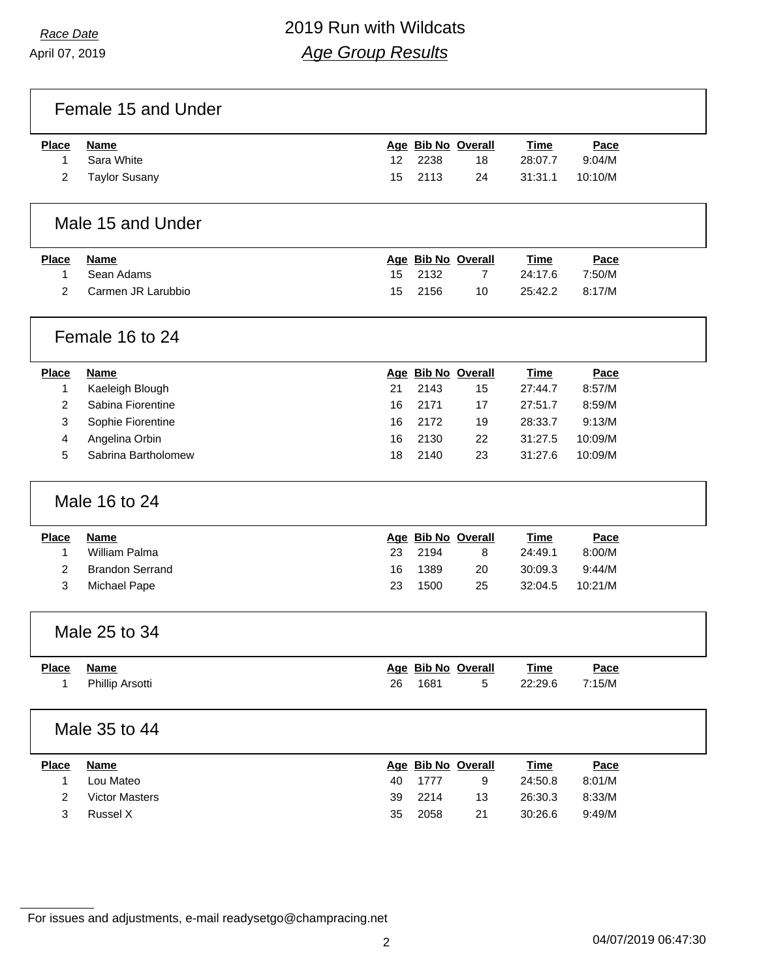# *Race Date* 2019 Run with Wildcats *Age Group Results*

Female 15 and Under

| <b>Place</b> | Name            |     |         | Age Bib No Overall | <b>Time</b> | Pace    |
|--------------|-----------------|-----|---------|--------------------|-------------|---------|
|              | Sara White      | 12. | 2238    | 18                 | 28:07.7     | 9:04/M  |
|              | 2 Taylor Susany |     | 15 2113 | 24                 | 31:31.1     | 10:10/M |

# Male 15 and Under

| Place | Name               | Age Bib No Overall |    | Time    | <u>Pace</u> |
|-------|--------------------|--------------------|----|---------|-------------|
|       | Sean Adams         | 15 2132            |    | 24:17.6 | 7:50/M      |
|       | Carmen JR Larubbio | 15 2156            | 10 | 25:42.2 | 8:17/M      |

# Female 16 to 24

| <b>Place</b> | <b>Name</b>         |     | Age Bib No Overall |    | <b>Time</b> | Pace    |
|--------------|---------------------|-----|--------------------|----|-------------|---------|
|              | Kaeleigh Blough     | 21  | 2143               | 15 | 27:44.7     | 8:57/M  |
|              | Sabina Fiorentine   | 16. | 2171               | 17 | 27:51.7     | 8:59/M  |
|              | Sophie Fiorentine   | 16  | 2172               | 19 | 28:33.7     | 9:13/M  |
|              | Angelina Orbin      | 16  | 2130               | 22 | 31:27.5     | 10:09/M |
| 5            | Sabrina Bartholomew | 18  | 2140               | 23 | 31:27.6     | 10:09/M |

### Male 16 to 24

| <b>Place</b> | Name                   |    |      | Age Bib No Overall | <b>Time</b> | Pace    |  |
|--------------|------------------------|----|------|--------------------|-------------|---------|--|
|              | William Palma          | 23 | 2194 | 8                  | 24:49.1     | 8:00/M  |  |
|              | <b>Brandon Serrand</b> | 16 | 1389 | 20                 | 30:09.3     | 9:44/M  |  |
|              | Michael Pape           | 23 | 1500 | 25                 | 32:04.5     | 10:21/M |  |
|              |                        |    |      |                    |             |         |  |

#### Male 25 to 34

| <b>Place</b> | Name            |    | Age Bib No Overall | <u>Time</u> | Pace   |
|--------------|-----------------|----|--------------------|-------------|--------|
|              | Phillip Arsotti | 26 | 1681               | 22:29.6     | 7:15/M |

#### Male 35 to 44

| <b>Place</b> | <b>Name</b>    |     | Age Bib No Overall |    | <u>Time</u> | Pace   |  |
|--------------|----------------|-----|--------------------|----|-------------|--------|--|
|              | Lou Mateo      | 40. | 1777               | 9  | 24:50.8     | 8:01/M |  |
|              | Victor Masters | 39  | 2214               | 13 | 26:30.3     | 8:33/M |  |
|              | Russel X       | 35  | 2058               | 21 | 30:26.6     | 9:49/M |  |

For issues and adjustments, e-mail readysetgo@champracing.net